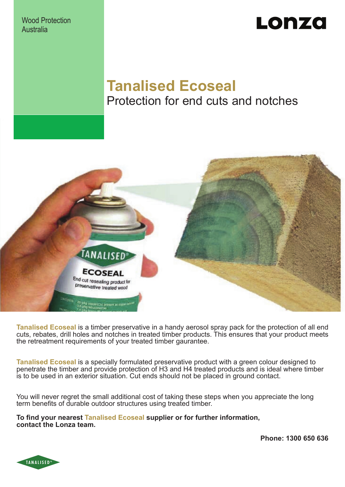Wood Protection Australia

## Lonza

### **Tanalised Ecoseal** Protection for end cuts and notches



**Tanalised Ecoseal** is a timber preservative in a handy aerosol spray pack for the protection of all end cuts, rebates, drill holes and notches in treated timber products. This ensures that your product meets the retreatment requirements of your treated timber gaurantee.

**Tanalised Ecoseal** is a specially formulated preservative product with a green colour designed to penetrate the timber and provide protection of H3 and H4 treated products and is ideal where timber is to be used in an exterior situation. Cut ends should not be placed in ground contact.

You will never regret the small additional cost of taking these steps when you appreciate the long term benefits of durable outdoor structures using treated timber.

**To find your nearest Tanalised Ecoseal supplier or for further information, contact the Lonza team.**

**Phone: 1300 650 636**